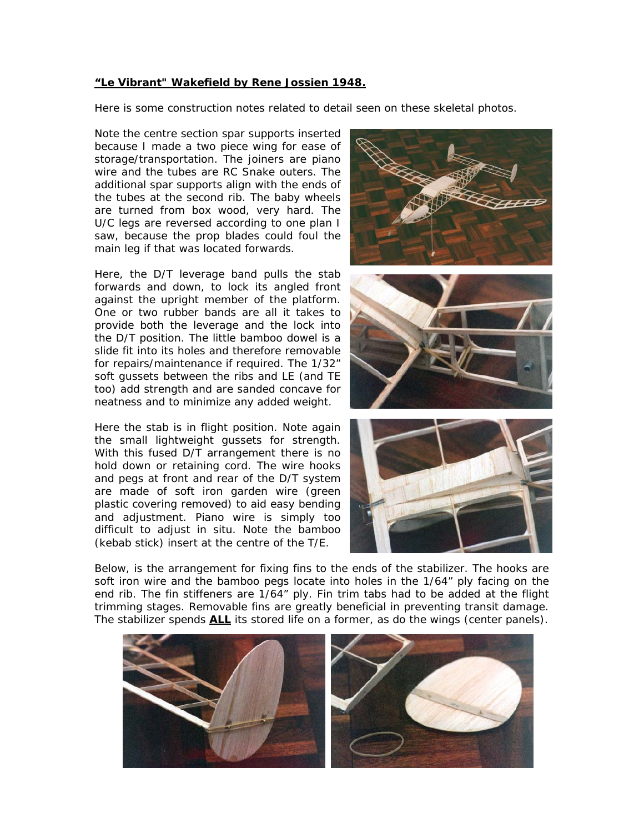## **"Le Vibrant" Wakefield by Rene Jossien 1948.**

Here is some construction notes related to detail seen on these skeletal photos.

Note the centre section spar supports inserted because I made a two piece wing for ease of storage/transportation. The joiners are piano wire and the tubes are RC Snake outers. The additional spar supports align with the ends of the tubes at the second rib. The baby wheels are turned from box wood, very hard. The U/C legs are reversed according to one plan I saw, because the prop blades could foul the main leg if that was located forwards.

Here, the D/T leverage band pulls the stab forwards and down, to lock its angled front against the upright member of the platform. One or two rubber bands are all it takes to provide both the leverage and the lock into the D/T position. The little bamboo dowel is a slide fit into its holes and therefore removable for repairs/maintenance if required. The 1/32" soft gussets between the ribs and LE (and TE too) add strength and are sanded concave for neatness and to minimize any added weight.

Here the stab is in flight position. Note again the small lightweight gussets for strength. With this fused D/T arrangement there is no hold down or retaining cord. The wire hooks and pegs at front and rear of the D/T system are made of soft iron garden wire (green plastic covering removed) to aid easy bending and adjustment. Piano wire is simply too difficult to adjust in situ. Note the bamboo (kebab stick) insert at the centre of the T/E.







Below, is the arrangement for fixing fins to the ends of the stabilizer. The hooks are soft iron wire and the bamboo pegs locate into holes in the 1/64" ply facing on the end rib. The fin stiffeners are 1/64" ply. Fin trim tabs had to be added at the flight trimming stages. Removable fins are greatly beneficial in preventing transit damage. The stabilizer spends **ALL** its stored life on a former, as do the wings (center panels).

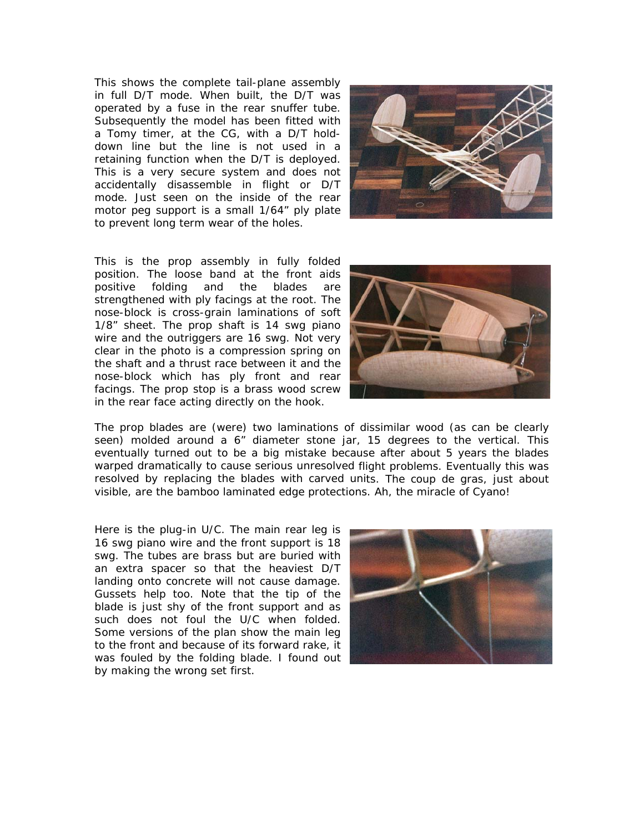Th is shows the complete tail-plane assembly in full D/T mode. When built, the D/T w as operated by a fuse in the rear snuffer tube. Subsequently the model has been fitted wi th a Tomy timer, at the CG, with a D/T holddown line but the line is not used in a retaining function when the D/T is deployed. This is a very secure system and does not accidentally disassemble in flight or D /T mode. Just seen on the inside of the rear motor peg support is a small 1/64" ply plate to prevent long term wear of the holes.



This is the prop assembly in fully folded position. The loose band at the front aids positive folding and the blades are strengthened with ply facings at the root. The nose-block is cross-grain laminations of soft 1/8" sheet. The prop shaft is 14 swg piano wire and the outriggers are 16 swg. Not very clear in the photo is a compression spring on the shaft and a thrust race between it and the nose-block which has ply front and rear facings. The prop stop is a brass wood screw in the rear face acting directly on the hook.



eventually turned out to be a big mistake because after about 5 years the blades warped dramatically to cause serious unresolved flight problems. Eventually this was resolved by replacing the blades with carved units. The coup de gras, just about visible, are the bamboo laminated edge protections. Ah, the miracle of Cyano! The prop blades are (were) two laminations of dissimilar wood (as can be clearly seen) molded around a 6" diameter stone ja r, 15 degrees to the vertical. This

Here is the plug-in U/C. The main rear leg is 16 swg piano wire and the front support is 18 swg. The tubes are brass but are buried with an extra spacer so that the heaviest D/T landing onto concrete will not cause damage. Gussets help too. Note that the tip of the blade is just shy of the front support and as such does not foul the U/C when folded. Some versions of the plan show the main leg to the front and because of its forward rake, it was fouled by the folding blade. I found out by making the wrong set first.

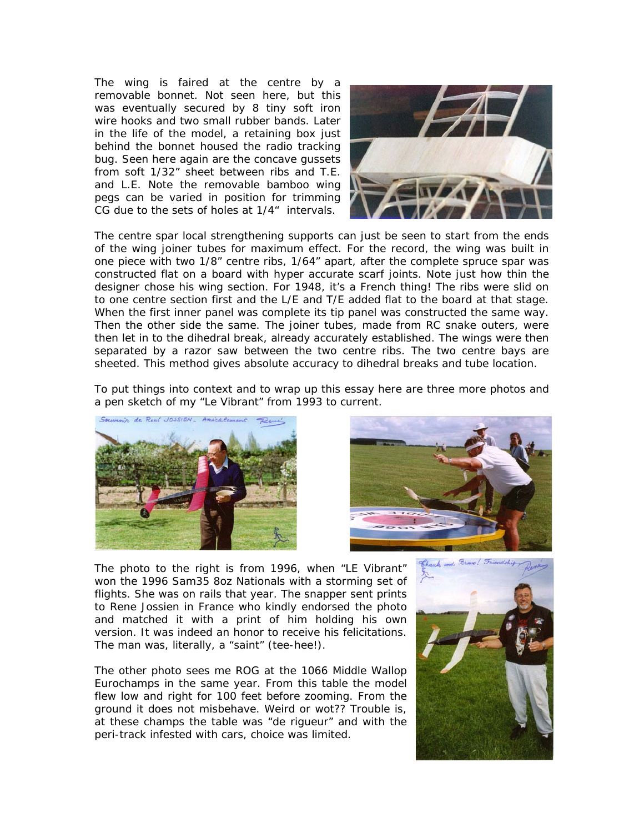The wing is faired at the centre by a removable bonnet. Not seen here, but this was eventually secured by 8 tiny soft iron wire hooks and two small rubber bands. Later in the life of the model, a retaining box just behind the bonnet housed the radio tracking bug. Seen here again are the concave gussets from soft 1/32" sheet between ribs and T.E. and L.E. Note the removable bamboo wing pegs can be varied in position for trimming CG due to the sets of holes at 1/4" intervals.



of the wing joiner tubes for maximum effect. For the record, the wing was built in one piece with two 1/8" centre ribs, 1/64" apart, after the complete spruce spar was constructed flat on a board with hyper accurate scarf joints. Note just how thin the designer chose his wing section. For 1948, it's a French thing! The ribs were slid on to one centre section first and the L/E and T/E added flat to the board at that stage. When the first inner panel was complete its tip panel was constructed the same way. Then the other side the same. The joiner tubes, made from RC snake outers, were then let in to the dihedral break, already accurately established. The wings were then separated by a razor saw between the two centre ribs. The two centre bays are The centre spar local strengthening supports ca n just be seen to start from the ends sheeted. This method gives absolute accuracy to dihedral breaks and tube location.

To put things into context and to wrap up this essay here are three more photos and a pen sketch of my "Le Vibrant" from 1993 to current.





The photo to the right is from 1996, when "LE Vibrant" won the 1996 Sam35 8oz Nationals with a storming set of flights. She was on rails that year. The snapper sent prints to Rene Jossien in France who kindly endorsed the photo and matched it with a print of him holding his own version. It was indeed an honor to receive his felicitations. The man was, literally, a "saint" (tee-hee!).

Eurochamps in the same year. From this table the model flew low and right for 100 feet before zooming. From the ground it does not misbehave. Weird or wot?? Trouble is , at these champs the table was "de rigueur" and with the peri-track infested with cars, choice was limited. The other photo sees me ROG at the 1066 Middle Wallop